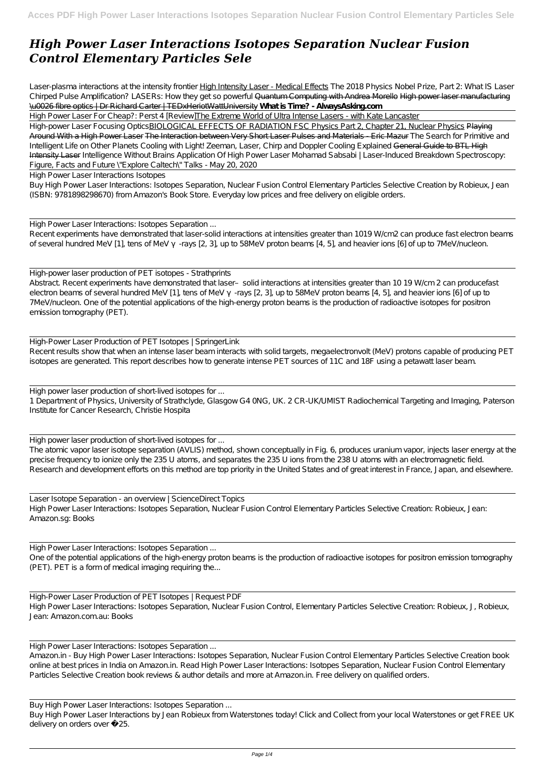## *High Power Laser Interactions Isotopes Separation Nuclear Fusion Control Elementary Particles Sele*

Laser-plasma interactions at the intensity frontier High Intensity Laser - Medical Effects *The 2018 Physics Nobel Prize, Part 2: What IS Laser Chirped Pulse Amplification? LASERs: How they get so powerful* Quantum Computing with Andrea Morello High power laser manufacturing \u0026 fibre optics | Dr Richard Carter | TEDxHeriotWattUniversity **What is Time? - AlwaysAsking.com**

High Power Laser For Cheap?: Perst 4 [Review]The Extreme World of Ultra Intense Lasers - with Kate Lancaster

High-power Laser Focusing OpticsBIOLOGICAL EFFECTS OF RADIATION FSC Physics Part 2, Chapter 21, Nuclear Physics Playing Around With a High Power Laser The Interaction between Very Short Laser Pulses and Materials - Eric Mazur *The Search for Primitive and Intelligent Life on Other Planets* Cooling with Light! Zeeman, Laser, Chirp and Doppler Cooling Explained General Guide to BTL High Intensity Laser *Intelligence Without Brains Application Of High Power Laser Mohamad Sabsabi | Laser-Induced Breakdown Spectroscopy: Figure, Facts and Future* \"Explore Caltech\" Talks - May 20, 2020

High-power laser production of PET isotopes - Strathprints Abstract. Recent experiments have demonstrated that laser-solid interactions at intensities greater than 10 19 W/cm 2 can producefast electron beams of several hundred MeV [1], tens of MeV -rays [2, 3], up to 58MeV proton beams [4, 5], and heavier ions [6] of up to 7MeV hucleon. One of the potential applications of the high-energy proton beams is the production of radioactive isotopes for positron emission tomography (PET).

High Power Laser Interactions Isotopes

Buy High Power Laser Interactions: Isotopes Separation, Nuclear Fusion Control Elementary Particles Selective Creation by Robieux, Jean (ISBN: 9781898298670) from Amazon's Book Store. Everyday low prices and free delivery on eligible orders.

High Power Laser Interactions: Isotopes Separation ...

Recent experiments have demonstrated that laser-solid interactions at intensities greater than 1019 W/cm2 can produce fast electron beams of several hundred MeV [1], tens of MeV -rays [2, 3], up to 58MeV proton beams [4, 5], and heavier ions [6] of up to 7MeV hucleon.

One of the potential applications of the high-energy proton beams is the production of radioactive isotopes for positron emission tomography (PET). PET is a form of medical imaging requiring the...

Buy High Power Laser Interactions by Jean Robieux from Waterstones today! Click and Collect from your local Waterstones or get FREE UK delivery on orders over £25.

High-Power Laser Production of PET Isotopes | SpringerLink Recent results show that when an intense laser beam interacts with solid targets, megaelectronvolt (MeV) protons capable of producing PET isotopes are generated. This report describes how to generate intense PET sources of 11C and 18F using a petawatt laser beam.

High power laser production of short-lived isotopes for ... 1 Department of Physics, University of Strathclyde, Glasgow G4 0NG, UK. 2 CR-UK/UMIST Radiochemical Targeting and Imaging, Paterson Institute for Cancer Research, Christie Hospita

High power laser production of short-lived isotopes for ...

The atomic vapor laser isotope separation (AVLIS) method, shown conceptually in Fig. 6, produces uranium vapor, injects laser energy at the precise frequency to ionize only the 235 U atoms, and separates the 235 U ions from the 238 U atoms with an electromagnetic field. Research and development efforts on this method are top priority in the United States and of great interest in France, Japan, and elsewhere.

Laser Isotope Separation - an overview | ScienceDirect Topics High Power Laser Interactions: Isotopes Separation, Nuclear Fusion Control Elementary Particles Selective Creation: Robieux, Jean: Amazon.sg: Books

High Power Laser Interactions: Isotopes Separation ...

High-Power Laser Production of PET Isotopes | Request PDF High Power Laser Interactions: Isotopes Separation, Nuclear Fusion Control, Elementary Particles Selective Creation: Robieux, J, Robieux, Jean: Amazon.com.au: Books

High Power Laser Interactions: Isotopes Separation ...

Amazon.in - Buy High Power Laser Interactions: Isotopes Separation, Nuclear Fusion Control Elementary Particles Selective Creation book online at best prices in India on Amazon.in. Read High Power Laser Interactions: Isotopes Separation, Nuclear Fusion Control Elementary Particles Selective Creation book reviews & author details and more at Amazon.in. Free delivery on qualified orders.

Buy High Power Laser Interactions: Isotopes Separation ...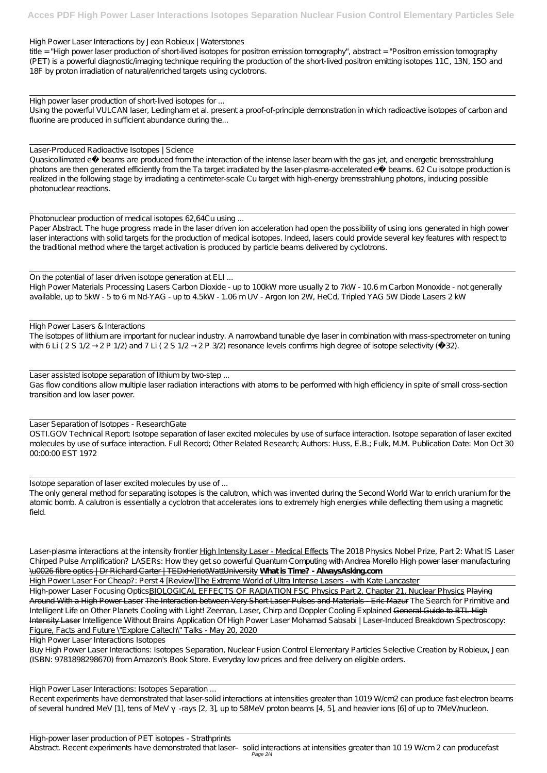High Power Laser Interactions by Jean Robieux | Waterstones

title = "High power laser production of short-lived isotopes for positron emission tomography", abstract = "Positron emission tomography (PET) is a powerful diagnostic/imaging technique requiring the production of the short-lived positron emitting isotopes 11C, 13N, 15O and 18F by proton irradiation of natural/enriched targets using cyclotrons.

Using the powerful VULCAN laser, Ledingham et al. present a proof-of-principle demonstration in which radioactive isotopes of carbon and fluorine are produced in sufficient abundance during the...

High power laser production of short-lived isotopes for ...

Quasicollimated e− beams are produced from the interaction of the intense laser beam with the gas jet, and energetic bremsstrahlung photons are then generated efficiently from the Ta target irradiated by the laser-plasma-accelerated e− beams. 62 Cu isotope production is realized in the following stage by irradiating a centimeter-scale Cu target with high-energy bremsstrahlung photons, inducing possible photonuclear reactions.

Laser-Produced Radioactive Isotopes | Science

Photonuclear production of medical isotopes 62,64Cu using ... Paper Abstract. The huge progress made in the laser driven ion acceleration had open the possibility of using ions generated in high power laser interactions with solid targets for the production of medical isotopes. Indeed, lasers could provide several key features with respect to the traditional method where the target activation is produced by particle beams delivered by cyclotrons.

High Power Lasers & Interactions The isotopes of lithium are important for nuclear industry. A narrowband tunable dye laser in combination with mass-spectrometer on tuning with 6 Li ( 2 S 1/2 – 2 P 1/2) and 7 Li ( 2 S 1/2 – 2 P 3/2) resonance levels confirms high degree of isotope selectivity (− 32).

Laser assisted isotope separation of lithium by two-step ... Gas flow conditions allow multiple laser radiation interactions with atoms to be performed with high efficiency in spite of small cross-section transition and low laser power.

Laser Separation of Isotopes - ResearchGate OSTI.GOV Technical Report: Isotope separation of laser excited molecules by use of surface interaction. Isotope separation of laser excited molecules by use of surface interaction. Full Record; Other Related Research; Authors: Huss, E.B.; Fulk, M.M. Publication Date: Mon Oct 30 00:00:00 EST 1972

On the potential of laser driven isotope generation at ELI ... High Power Materials Processing Lasers Carbon Dioxide - up to 100kW more usually 2 to 7kW - 10.6 m Carbon Monoxide - not generally available, up to 5kW - 5 to 6 m Nd-YAG - up to 4.5kW - 1.06 m UV - Argon Ion 2W, HeCd, Tripled YAG 5W Diode Lasers 2 kW

High-power Laser Focusing OpticsBIOLOGICAL EFFECTS OF RADIATION FSC Physics Part 2, Chapter 21, Nuclear Physics Playing Around With a High Power Laser The Interaction between Very Short Laser Pulses and Materials - Eric Mazur *The Search for Primitive and Intelligent Life on Other Planets* Cooling with Light! Zeeman, Laser, Chirp and Doppler Cooling Explained General Guide to BTL High Intensity Laser *Intelligence Without Brains Application Of High Power Laser Mohamad Sabsabi | Laser-Induced Breakdown Spectroscopy: Figure, Facts and Future* \"Explore Caltech\" Talks - May 20, 2020

Isotope separation of laser excited molecules by use of ...

The only general method for separating isotopes is the calutron, which was invented during the Second World War to enrich uranium for the atomic bomb. A calutron is essentially a cyclotron that accelerates ions to extremely high energies while deflecting them using a magnetic field.

Laser-plasma interactions at the intensity frontier High Intensity Laser - Medical Effects *The 2018 Physics Nobel Prize, Part 2: What IS Laser Chirped Pulse Amplification? LASERs: How they get so powerful* Quantum Computing with Andrea Morello High power laser manufacturing \u0026 fibre optics | Dr Richard Carter | TEDxHeriotWattUniversity **What is Time? - AlwaysAsking.com**

High Power Laser For Cheap?: Perst 4 [Review]The Extreme World of Ultra Intense Lasers - with Kate Lancaster

High Power Laser Interactions Isotopes

Buy High Power Laser Interactions: Isotopes Separation, Nuclear Fusion Control Elementary Particles Selective Creation by Robieux, Jean (ISBN: 9781898298670) from Amazon's Book Store. Everyday low prices and free delivery on eligible orders.

High Power Laser Interactions: Isotopes Separation ...

Recent experiments have demonstrated that laser-solid interactions at intensities greater than 1019 W/cm2 can produce fast electron beams of several hundred MeV [1], tens of MeV -rays [2, 3], up to 58MeV proton beams [4, 5], and heavier ions [6] of up to 7MeV hucleon.

High-power laser production of PET isotopes - Strathprints Abstract. Recent experiments have demonstrated that laser- solid interactions at intensities greater than 10 19 W/cm 2 can producefast Page 2/4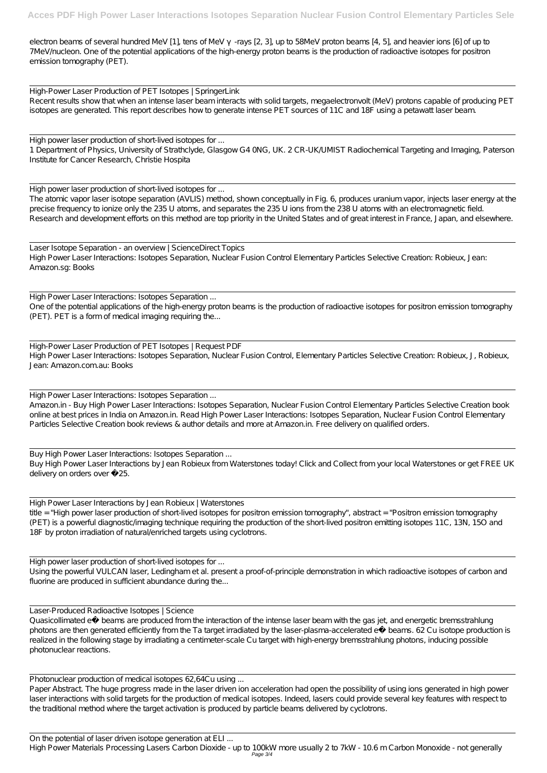electron beams of several hundred MeV [1], tens of MeV -rays [2, 3], up to 58MeV proton beams [4, 5], and heavier ions [6] of up to 7MeV hucleon. One of the potential applications of the high-energy proton beams is the production of radioactive isotopes for positron emission tomography (PET).

High-Power Laser Production of PET Isotopes | SpringerLink Recent results show that when an intense laser beam interacts with solid targets, megaelectronvolt (MeV) protons capable of producing PET isotopes are generated. This report describes how to generate intense PET sources of 11C and 18F using a petawatt laser beam.

High power laser production of short-lived isotopes for ...

1 Department of Physics, University of Strathclyde, Glasgow G4 0NG, UK. 2 CR-UK/UMIST Radiochemical Targeting and Imaging, Paterson Institute for Cancer Research, Christie Hospita

One of the potential applications of the high-energy proton beams is the production of radioactive isotopes for positron emission tomography (PET). PET is a form of medical imaging requiring the...

High power laser production of short-lived isotopes for ...

The atomic vapor laser isotope separation (AVLIS) method, shown conceptually in Fig. 6, produces uranium vapor, injects laser energy at the precise frequency to ionize only the 235 U atoms, and separates the 235 U ions from the 238 U atoms with an electromagnetic field. Research and development efforts on this method are top priority in the United States and of great interest in France, Japan, and elsewhere.

Buy High Power Laser Interactions by Jean Robieux from Waterstones today! Click and Collect from your local Waterstones or get FREE UK delivery on orders over £25.

Laser Isotope Separation - an overview | ScienceDirect Topics High Power Laser Interactions: Isotopes Separation, Nuclear Fusion Control Elementary Particles Selective Creation: Robieux, Jean: Amazon.sg: Books

Using the powerful VULCAN laser, Ledingham et al. present a proof-of-principle demonstration in which radioactive isotopes of carbon and fluorine are produced in sufficient abundance during the...

High Power Laser Interactions: Isotopes Separation ...

High-Power Laser Production of PET Isotopes | Request PDF High Power Laser Interactions: Isotopes Separation, Nuclear Fusion Control, Elementary Particles Selective Creation: Robieux, J, Robieux, Jean: Amazon.com.au: Books

High Power Laser Interactions: Isotopes Separation ...

Amazon.in - Buy High Power Laser Interactions: Isotopes Separation, Nuclear Fusion Control Elementary Particles Selective Creation book online at best prices in India on Amazon.in. Read High Power Laser Interactions: Isotopes Separation, Nuclear Fusion Control Elementary Particles Selective Creation book reviews & author details and more at Amazon.in. Free delivery on qualified orders.

Buy High Power Laser Interactions: Isotopes Separation ...

High Power Laser Interactions by Jean Robieux | Waterstones

title = "High power laser production of short-lived isotopes for positron emission tomography", abstract = "Positron emission tomography (PET) is a powerful diagnostic/imaging technique requiring the production of the short-lived positron emitting isotopes 11C, 13N, 15O and 18F by proton irradiation of natural/enriched targets using cyclotrons.

High power laser production of short-lived isotopes for ...

Laser-Produced Radioactive Isotopes | Science Quasicollimated e− beams are produced from the interaction of the intense laser beam with the gas jet, and energetic bremsstrahlung photons are then generated efficiently from the Ta target irradiated by the laser-plasma-accelerated e− beams. 62 Cu isotope production is realized in the following stage by irradiating a centimeter-scale Cu target with high-energy bremsstrahlung photons, inducing possible photonuclear reactions.

Photonuclear production of medical isotopes 62,64Cu using ...

Paper Abstract. The huge progress made in the laser driven ion acceleration had open the possibility of using ions generated in high power laser interactions with solid targets for the production of medical isotopes. Indeed, lasers could provide several key features with respect to the traditional method where the target activation is produced by particle beams delivered by cyclotrons.

On the potential of laser driven isotope generation at ELI ...

High Power Materials Processing Lasers Carbon Dioxide - up to 100kW more usually 2 to 7kW - 10.6 m Carbon Monoxide - not generally Page 3/4